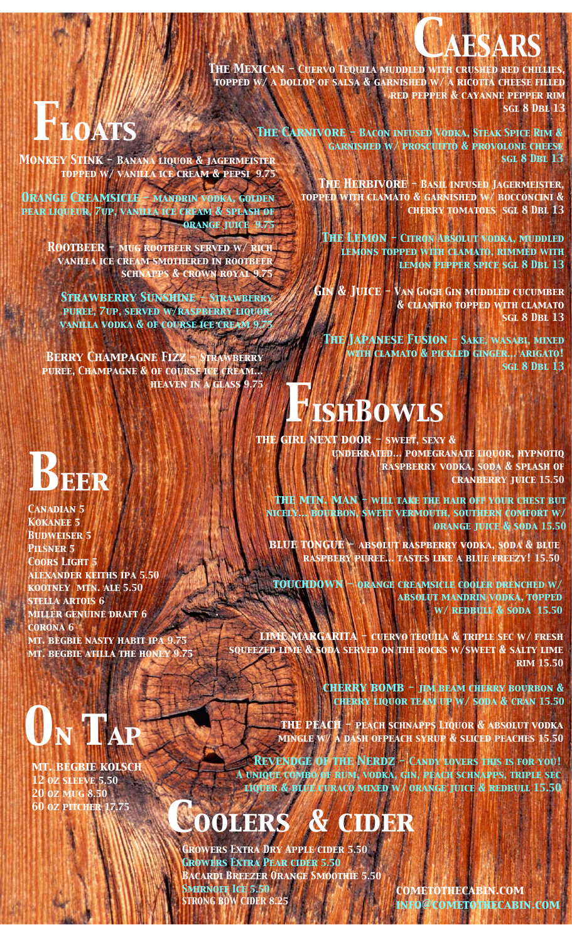### *CAESARS*

*The Mexican - Cuervo Tequila muddled with crushed red chillies, topped w/ a dollop of salsa & garnished w/ a ricotta cheese filled red pepper & cayanne pepper rim sgl 8 Dbl 13*

## **ATS**

*Monkey Stink - Banana liquor & jagermeister topped w/ vanilla ice cream & pepsi 9.75*

*Orange Creamsicle - mandrin vodka, golden pear liqueur, 7up, vanilla ice cream & splash of orange juice 9.75*

> *Rootbeer - mug rootbeer served w/ rich vanilla ice cream smothered in rootbeer schnapps & crown royal 9.75*

*Strawberry Sunshine - Strawberry puree, 7up, served w/raspberry liquor, vanilla vodka & of course ice cream 9.75*

*Berry Champagne Fizz - Strawberry puree, Champagne & of course ice cream...*

## *Beer*

*Canadian 5 Kokanee 5 Budweiser 5 Pilsner 5 Coors Light 5 alexander keiths ipa 5.50 kootney mtn. ale 5.50 stella artois 6 miller genuine draft 6 corona 6 mt. begbie nasty habit ipa 9.75 mt. begbie atilla the honey 9.75*

# *0n tap*

*mt. begbie kolsch 12 oz sleeve 5.50 20 oz mug 8.50*

*The Carnivore - Bacon infused Vodka, Steak Spice Rim & garnished w/ proscuitto & provolone cheese sgl 8 Dbl 13*

> *The Herbivore - Basil infused Jagermeister, topped with clamato & garnished w/ bocconcini & cherry tomatoes sgl 8 Dbl 13*

*The Lemon - Citron Absolut vodka, muddled lemons topped with clamato, rimmed with lemon pepper spice sgl 8 Dbl 13*

*Gin & Juice - Van Gogh Gin muddled cucumber & cliantro topped with clamato sgl 8 Dbl 13*

*The Japanese Fusion - Sake, wasabi, mixed with clamato & pickled ginger... arigato! sgl 8 Dbl 13*

### *heaven in a glass 9.75 FishBowls*

*the girl next door - sweet, sexy & underrated... pomegranate liquor, hypnotiq raspberry vodka, soda & splash of cranberry juice 15.50*

*the mtn. man - will take the hair off your chest but nicely... bourbon, sweet vermouth, southern comfort w/ orange juice & soda 15.50*

*blue tongue - absolut raspberry vodka, soda & blue raspbery puree... tastes like a blue freezy! 15.50*

*touchdown - orange creamsicle cooler drenched w/ absolut mandrin vodka, topped w/ redbull & soda 15.50*

*lime margarita - cuervo tequila & triple sec w/ fresh squeezed lime & soda served on the rocks w/sweet & salty lime rim 15.50*

> *cherry bomb - jim beam cherry bourbon & cherry liquor team up w/ soda & cran 15.50*

*the peach - peach schnapps Liquor & absolut vodka mingle w/ a dash ofpeach syrup & sliced peaches 15.50*

*Revendge of the Nerdz - Candy lovers this is for you! A unique combo of rum, vodka, gin, peach schnapps, triple sec liquer & blue curaco mixed w/ orange juice & redbull 15.50*

### **60 oz pitcher 17.75 coolers & cider**

*Growers Extra Dry Apple cider 5.50 Growers Extra Pear cider 5.50 Bacardi Breezer Orange Smoothie 5.50 Smirnoff Ice 5.50 STRONG BOW CIDER 8.25*

*cometothecabin.com info@cometothecabin.com*